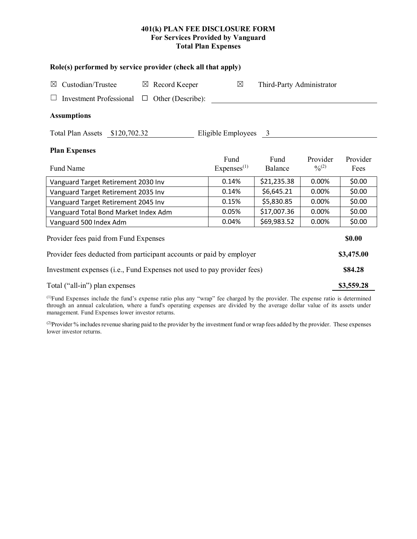## **401(k) PLAN FEE DISCLOSURE FORM For Services Provided by Vanguard Total Plan Expenses**

| Role(s) performed by service provider (check all that apply)            |                                |                           |                       |                  |  |  |  |  |
|-------------------------------------------------------------------------|--------------------------------|---------------------------|-----------------------|------------------|--|--|--|--|
| Custodian/Trustee<br>$\boxtimes$ Record Keeper<br>$\boxtimes$           | $\boxtimes$                    | Third-Party Administrator |                       |                  |  |  |  |  |
| <b>Investment Professional</b><br>Other (Describe):<br>$\Box$           |                                |                           |                       |                  |  |  |  |  |
| <b>Assumptions</b>                                                      |                                |                           |                       |                  |  |  |  |  |
| Total Plan Assets \$120,702.32<br>Eligible Employees 3                  |                                |                           |                       |                  |  |  |  |  |
| <b>Plan Expenses</b>                                                    |                                |                           |                       |                  |  |  |  |  |
| Fund Name                                                               | Fund<br>Express <sup>(1)</sup> | Fund<br>Balance           | Provider<br>$^{0}(2)$ | Provider<br>Fees |  |  |  |  |
| Vanguard Target Retirement 2030 Inv                                     | 0.14%                          | \$21,235.38               | 0.00%                 | \$0.00           |  |  |  |  |
| Vanguard Target Retirement 2035 Inv                                     | 0.14%                          | \$6,645.21                | 0.00%                 | \$0.00           |  |  |  |  |
| Vanguard Target Retirement 2045 Inv                                     | 0.15%                          | \$5,830.85                | 0.00%                 | \$0.00           |  |  |  |  |
| Vanguard Total Bond Market Index Adm                                    | 0.05%                          | \$17,007.36               | 0.00%                 | \$0.00           |  |  |  |  |
| Vanguard 500 Index Adm                                                  | 0.04%                          | \$69,983.52               | 0.00%                 | \$0.00           |  |  |  |  |
| Provider fees paid from Fund Expenses                                   |                                |                           |                       |                  |  |  |  |  |
| Provider fees deducted from participant accounts or paid by employer    |                                |                           |                       |                  |  |  |  |  |
| Investment expenses (i.e., Fund Expenses not used to pay provider fees) |                                |                           |                       |                  |  |  |  |  |
| Total ("all-in") plan expenses                                          |                                |                           |                       |                  |  |  |  |  |

(1) Fund Expenses include the fund's expense ratio plus any "wrap" fee charged by the provider. The expense ratio is determined through an annual calculation, where a fund's operating expenses are divided by the average dollar value of its assets under management. Fund Expenses lower investor returns.

(2) Provider % includes revenue sharing paid to the provider by the investment fund or wrap fees added by the provider. These expenses lower investor returns.